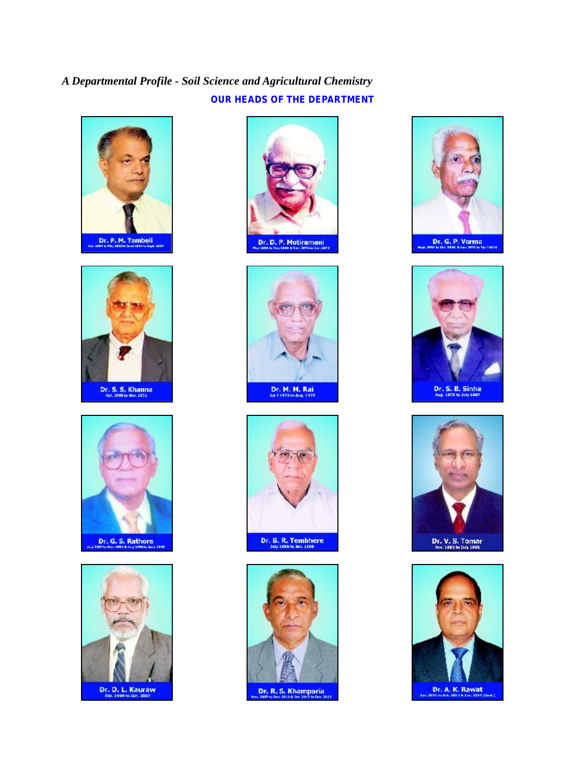# *A Departmental Profile - Soil Science and Agricultural Chemistry* **OUR HEADS OF THE DEPARTMENT**





















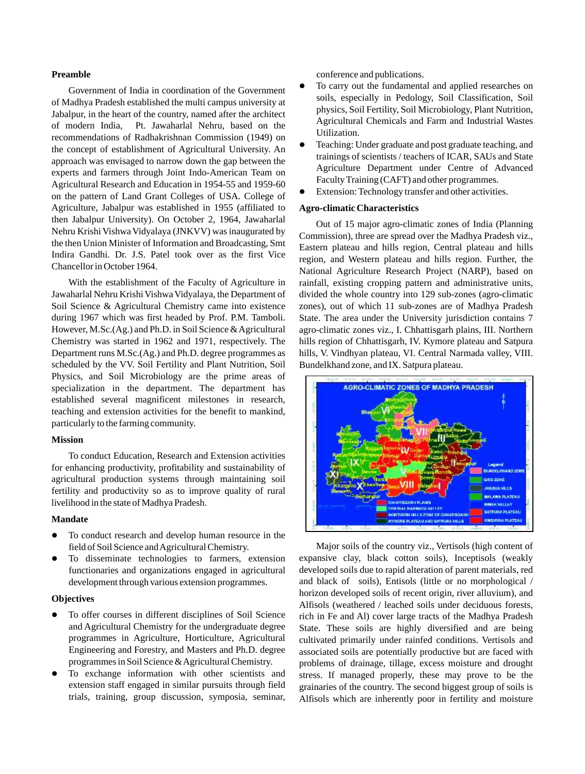#### **Preamble**

Jabalpur, in the heart of the country, named after the architect Agricultural Chemicals and Farm and Industrial Wastes of modern India, Pt. Jawaharlal Nehru, based on the Utilization. recommendations of Radhakrishnan Commission (1949) on<br>the aggregate of activities on a state of Aggregate (1949) on Teaching: Under graduate and post graduate teaching, and the concept of establishment of Agricultural University. An the concept of establishment of Agricultural University. An the concept of scientists / teachers of ICAR, SAUs and State approach was envisaged to narrow down the gap between the experts and farmers through Joint Indo-American Team on Faculty Training (CAFT) and other programmes. Agricultural Research and Education in 1954-55 and 1959-60 on the pattern of Land Grant Colleges of USA. College of Agriculture, Jabalpur was established in 1955 (affiliated to **Agro-climatic Characteristics** then Jabalpur University). On October 2, 1964, Jawaharlal Out of 15 major agro-climatic zones of India (Planning<br>Nehru Krishi Vishwa Vidyalaya (JNKVV) was inaugurated by Commission), three are arread over the Medhue Predec Nehru Krishi Vishwa Vidyalaya (JNKVV) was maugurated by Commission), three are spread over the Madhya Pradesh viz., the then Union Minister of Information and Broadcasting, Smt Esstern plateau and hills region. Central pla Indira Gandhi. Dr. J.S. Patel took over as the first Vice

Jawaharlal Nehru Krishi VishwaVidyalaya, the Department of divided the whole country into 129 sub-zones (agro-climatic Soil Science & Agricultural Chemistry came into existence zones), out of which 11 sub-zones are of Madhya Pradesh during 1967 which was first headed by Prof. P.M. Tamboli. State. The area under the University jurisdiction contains 7 However, M.Sc.(Ag.) and Ph.D. in Soil Science & Agricultural agro-climatic zones viz., I. Chhattisgarh plains, III. Northern Chemistry was started in 1962 and 1971, respectively. The hills region of Chhattisgarh, IV. Kymore plateau and Satpura Department runs M.Sc.(Ag.) and Ph.D. degree programmes as hills, V. Vindhyan plateau, VI. Central Narmada valley, VIII. scheduled by the VV. Soil Fertility and Plant Nutrition, Soil Bundelkhand zone, and IX. Satpura plateau. Physics, and Soil Microbiology are the prime areas of specialization in the department. The department has established several magnificent milestones in research, teaching and extension activities for the benefit to mankind, particularly to the farming community.

### **Mission**

To conduct Education, Research and Extension activities for enhancing productivity, profitability and sustainability of agricultural production systems through maintaining soil fertility and productivity so as to improve quality of rural livelihood in the state of Madhya Pradesh.

#### **Mandate**

- To conduct research and develop human resource in the field of Soil Science and Agricultural Chemistry. Major soils of the country viz., Vertisols (high content of
- 

- To offer courses in different disciplines of Soil Science
- To exchange information with other scientists and

conference and publications.

- Government of India in coordination of the Government  $\bullet$  To carry out the fundamental and applied researches on Sovernment of India in coordination of the Government<br>of Madhya Pradesh established the multi campus university at<br>Islamic of Madhya Pradesh established the multi campus university at<br>Islamic physics, Soil Fertility, Soil
	- Agriculture Department under Centre of Advanced
	- Extension: Technology transfer and other activities.

Eastern plateau and hills region, Central plateau and hills region, and Western plateau and hills region. Further, the Chancellor in October 1964. National Agriculture Research Project (NARP), based on With the establishment of the Faculty of Agriculture in rainfall, existing cropping pattern and administrative units,



To disseminate technologies to farmers, extension expansive clay, black cotton soils), Inceptisols (weakly functionaries and organizations engaged in agricultural developed soils due to rapid alteration of parent materials, red development through various extension programmes. and black of soils), Entisols (little or no morphological / horizon developed soils of recent origin, river alluvium), and **Objectives** Alfisols (weathered / leached soils under deciduous forests, To offer courses in different disciplines of Soil Science rich in Fe and Al) cover large tracts of the Madhya Pradesh and Agricultural Chemistry for the undergraduate degree State. These soils are highly diversified and ar and Agricultural Chemistry for the undergraduate degree State. These soils are highly diversified and are being<br>programmes in Agriculture, Horticulture, Agricultural cultivated primarily under rainfed conditions. Vertisols programmes in Agriculture, Horticulture, Agricultural cultivated primarily under rainfed conditions. Vertisols and<br>Engineering and Forestry, and Masters and Ph.D. degree associated soils are potentially productive but are Engineering and Forestry, and Masters and Ph.D. degree associated soils are potentially productive but are faced with programmes in Soil Science & Agricultural Chemistry. The problems of drainage, tillage, excess moisture problems of drainage, tillage, excess moisture and drought To exchange information with other scientists and stress. If managed properly, these may prove to be the extension staff engaged in similar pursuits through field grainaries of the country. The second biggest group of soil extension staff engaged in similar pursuits through field grainaries of the country. The second biggest group of soils is trials, training, group discussion, symposia, seminar, Alfisols which are inherently poor in fertili Alfisols which are inherently poor in fertility and moisture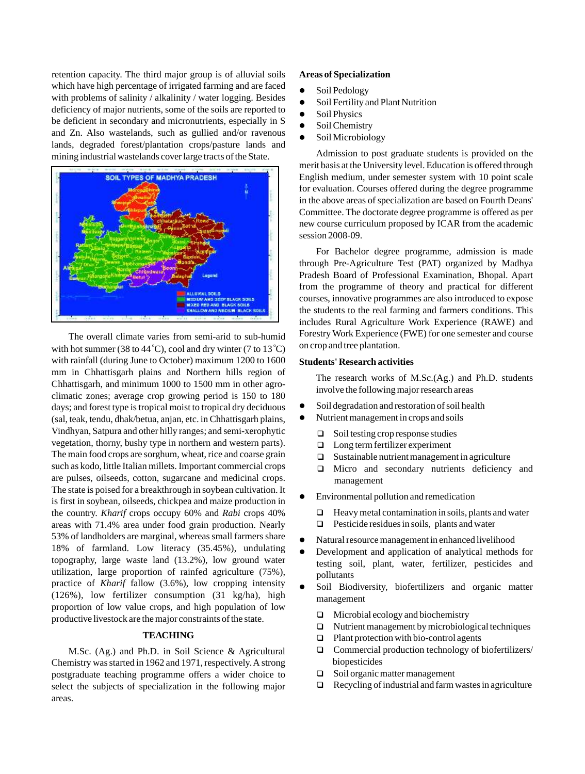retention capacity. The third major group is of alluvial soils **Areas of Specialization** which have high percentage of irrigated farming and are faced  $\bullet$  Soil Pedology with problems of salinity / alkalinity / water logging. Besides soil Fertility and Plant Nutrition deficiency of major nutrients, some of the soils are reported to  $\overrightarrow{Sol}$  Physics be deficient in secondary and micronutrients, especially in  $S \qquad$  Soil Chemistry and Zn. Also wastelands, such as gullied and/or ravenous  $\bullet$  Soil Microbiology lands, degraded forest/plantation crops/pasture lands and mining industrial wastelands cover large tracts of the State. Admission to post graduate students is provided on the



with hot summer (38 to 44 °C), cool and dry winter (7 to 13 °C) with rainfall (during June to October) maximum 1200 to 1600 **Students' Research activities**  mm in Chhattisgarh plains and Northern hills region of<br>
The research works of M.Sc.(Ag.) and Ph.D. students<br>
involve the following major research areas<br>
involve the following major research areas days; and forest type is tropical moist to tropical dry deciduous climatic zones; average crop gro wing period is 150 to 180 (sal, teak, tendu, dhak/betua, anjan, etc. in Chhattisgarh plains, Vindhyan, Satpura and other hilly ranges; and semi-xerophytic  $\Box$  Soil testing crop response studies vegetation, thorny, bushy type in northern and western parts).  $\Box$  Long term fertilizer experiment The main food crops are sorghum, wheat, rice and coarse grain  $\Box$  Sustainable nutrient management in agriculture such as kodo, little Italian millets. Important commercial crops  $\Box$  Micro and secondary nutrients deficiency and are pulses, oilseeds, cotton, sugarcane and medicinal crops. management The state is poised for a breakthrough in soybean cultivation. It the country . *Kharif* crops occup y 60% and *Rabi* crops 40% is first in so ybean, oilseeds, chickpea and maize production in areas with 71.4% area under food grain production. Nearly 53% of landholders are marginal, whereas small farmers share all Natural resource management in enhanced livelihood 18% of farmland. Low literacy (35.45%), undulating <br>Development and application of analytical methods for topography, large waste land (13.2%), low ground water testing soil, plant, water, fertilizer, pesticides and utilization, large proportion of rainfed agriculture  $(75\%)$ , pollutants practice of *Kharif* fallow  $(3.6\%)$ , low cropping intensity (126%), low fertilizer consumption (31 kg/ha), high management proportion of low value crops, and high population of low <sup>q</sup>Microbial ecology and biochemistry productive livestock are the major constraints of the state.

### **TEACHING**

M.Sc. (Ag.) and Ph.D. in Soil Science & Agricultural Chemistry was started in 1962 and 1971, respectively. A strong postgraduate teaching programme offers a wider choice to select the subjects of specialization in the following major  $\mathbf{r}$ areas.

- 
- 
- 
- 
- 

merit basis at the University level. Education is offered through English medium, under semester system with 10 point scale for evaluation. Courses offered during the degree programme in the above areas of specialization are based on Fourth Deans' Committee. The doctorate degree programme is offered as per new course curriculum proposed by ICAR from the academic session 2008-09.

For Bachelor degree programme, admission is made through Pre-Agriculture Test (PAT) organized by Madhya Pradesh Board of Professional Examination, Bhopal. Apart from the programme of theory and practical for different courses, innovative programmes are also introduced to expose the students to the real farming and farmers conditions. This includes Rural Agriculture Work Experience (RAWE) and The overall climate varies from semi-arid to sub-humid Forestry Work Experience (FWE) for one semester and course<br>that summer (38 to 44 °C), cool and dry winter (7 to 13 °C) on crop and tree plantation.

- $\bullet$  Soil degradation and restoration of soil health
- Nutrient management in crops and soils
	-
	-
	-
	-
	- lEnvironmental pollution and remedication
		- $\Box$  Heavy metal contamination in soils, plants and water
		- $\Box$  Pesticide residues in soils, plants and water
- 
- 
- Soil Biodiversity, biofertilizers and organic matter
	-
	- Nutrient management by microbiological techniques
	- $\Box$  Plant protection with bio-control agents
	- $\Box$  Commercial production technology of biofertilizers/ biopesticides
	- □ Soil organic matter management
	- $\Box$  Recycling of industrial and farm wastes in agriculture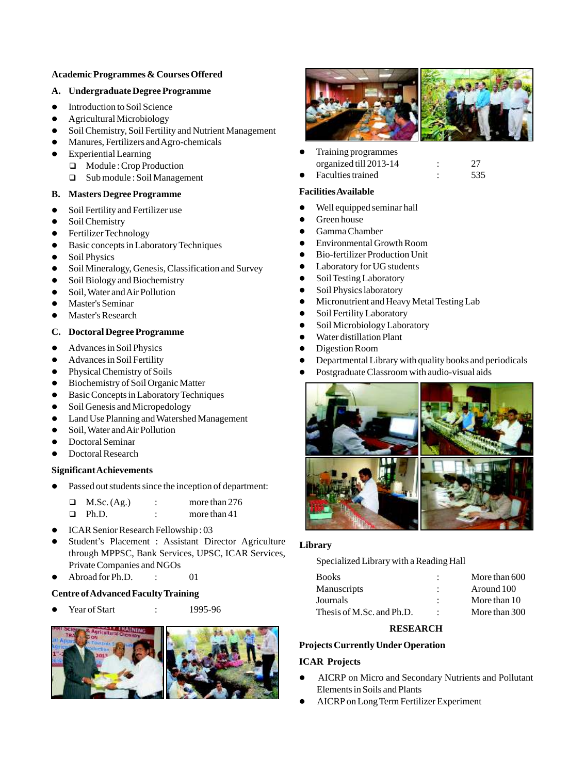# **Academic Programmes & Courses Offered**

#### **A. Undergraduate Degree Programme**

- $\bullet$  Introduction to Soil Science
- Agricultural Microbiology
- **•** Soil Chemistry, Soil Fertility and Nutrient Management
- Manures, Fertilizers and Agro-chemicals
- **•** Experiential Learning
	- □ Module : Crop Production
	- quarter Soil Management **C** Faculties trained : 535

## **B. Masters Degree Programme**

- Soil Fertility and Fertilizer use
- Soil Chemistry
- Fertilizer Technology
- Basic concepts in Laboratory Techniques Environmental Growth Room
- Soil Physics
- Soil Mineralogy, Genesis, Classification and Survey <br>• Laboratory for UG students
- Soil Biology and Biochemistry
- Soil, Water and Air Pollution
- lMaster's Seminar
- Master's Research

# **C.** Doctoral Degree Programme <br>
Water distillation Plant

- Advances in Soil Physics **•** Digestion Room
- Advances in Soil Fertility
- Physical Chemistry of Soils
- **•** Biochemistry of Soil Organic Matter
- **•** Basic Concepts in Laboratory Techniques
- Soil Genesis and Micropedology
- $\bullet$  Land Use Planning and Watershed Management
- Soil, Water and Air Pollution
- Doctoral Seminar
- Doctoral Research

# **Significant Achievements**

• Passed out students since the inception of department:

|        | M.Sc. (Ag.) | more than 276  |
|--------|-------------|----------------|
| $\Box$ | Ph.D.       | more than $41$ |

- **•** ICAR Senior Research Fellowship: 03
- l Student's Placement : Assistant Director Agriculture **Library** through MPPSC, Bank Services, UPSC, ICAR Services, Private Companies and NGOs
- 

# **Centre of Advanced Faculty Training**





lTraining programmes Faculties trained organized till 2013-14 : 27

# **Facilities Available**

- Well equipped seminar hall
- **•** Green house
- **•** Gamma Chamber
- **Environmental Growth Room**
- lBio-fertilizer Production Unit
- Laboratory for UG students
- Soil Testing Laboratory
- Soil Physics laboratory
- Micronutrient and Heavy Metal Testing Lab
- **•** Soil Fertility Laboratory
- **•** Soil Microbiology Laboratory
- 
- 
- Departmental Library with quality books and periodicals
- Postgraduate Classroom with audio-visual aids



Specialized Library with a Reading Hall

| 1 11 value Companies and NOOS              |         |                    |                           |               |
|--------------------------------------------|---------|--------------------|---------------------------|---------------|
| $\bullet$ Abroad for Ph.D.                 |         |                    | <b>Books</b>              | More than 600 |
| <b>Centre of Advanced Faculty Training</b> |         | <b>Manuscripts</b> | Around 100                |               |
|                                            |         |                    | Journals                  | More than 10  |
| $\bullet$ Year of Start                    | $\cdot$ | 1995-96            | Thesis of M.Sc. and Ph.D. | More than 300 |
|                                            |         |                    |                           |               |

## **RESEARCH**

# **Projects Currently Under Operation**

## **ICAR Projects**

- AICRP on Micro and Secondary Nutrients and Pollutant Elements in Soils and Plants
- $\bullet$  AICRP on Long Term Fertilizer Experiment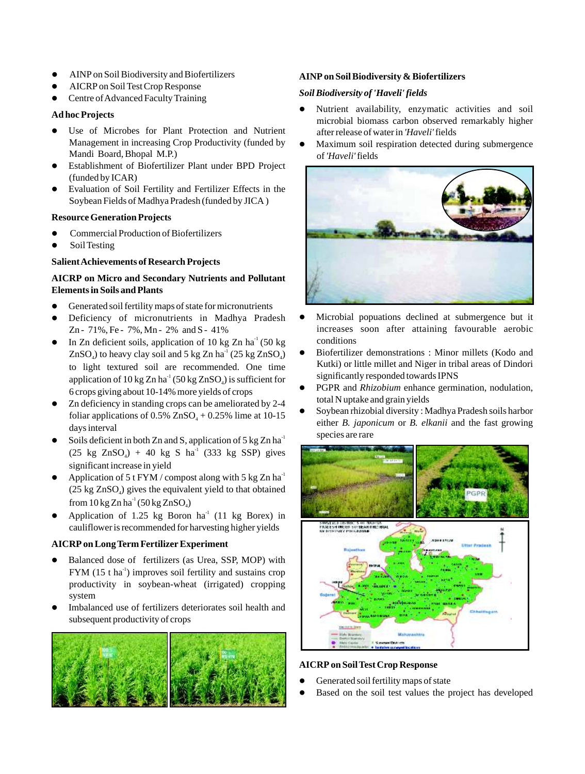- 
- $\bullet$  AICRP on Soil Test Crop Response
- <sup>l</sup> *Soil Biodiversity of 'Haveli' fields* Centre of Advanced Faculty Training

- Use of Microbes for Plant Protection and Nutrient after release of water in *'Haveli'* fields Management in increasing Crop Productivity (funded by  $\bullet$  Maximum soil respiration detected during submergence Mandi Board, Bhopal M.P.) of *'Haveli'*fields
- **•** Establishment of Biofertilizer Plant under BPD Project (funded by ICAR)
- Evaluation of Soil Fertility and Fertilizer Effects in the Soybean Fields of Madhya Pradesh (funded by JICA )

## **Resource Generation Projects**

- **•** Commercial Production of Biofertilizers
- Soil Testing

## **Salient Achievements of Research Projects**

## **AICRP on Micro and Secondary Nutrients and Pollutant Elements in Soils and Plants**

- Generated soil fertility maps of state for micronutrients
- Deficiency of micronutrients in M
- In Zn deficient soils, application of 10 kg Zn ha<sup>-1</sup> (50 kg conditions conditions in Minor millets (Kodo and  $(7nSO)$ ) to heavy clay soil and 5 kg Zn ha<sup>-1</sup> (25 kg Zn SO) **Conditions** in Minor millets (Kodo and to light textured soil are recommended. One time<br>anniversition of  $10 \text{ kg } Zn \text{ ha}^{-1} (50 \text{ kg } Zn \text{ SO})$  is sufficient for significantly responded towards IPNS application of 10 kg Zn ha<sup>-1</sup> (50 kg ZnSO<sub>4</sub>) is sufficient for<br>6 crops giving about 10-14% more yields of crops<br>**4 PGPR** and *Rhizobium* enhance germination, nodulation,<br>7 a definition with standing agains and spaning
- Zn deficiency in standing crops can be ameliorated by 2-4<br>  $\bullet$  Soybean rhizobial diversity: Madhya Pradesh soils harbor<br>  $\bullet$  Soybean rhizobial diversity: Madhya Pradesh soils harbor foliar applications of  $0.5\%$  ZnSO<sub> $_4$ </sub> + 0.25% lime at 10-15
- Soils deficient in both Zn and S, application of 5 kg Zn ha<sup>-1</sup>  $(25 \text{ kg } ZnSO_4) + 40 \text{ kg } SnA^{-1}$  (333 kg SSP) gives significant increase in yield
- Application of 5 t FYM / compost along with 5 kg Zn ha<sup>-1</sup>  $(25 \text{ kg ZnSO}_4)$  gives the equivalent yield to that obtained from  $10 \text{ kg Zn}$  ha<sup>-1</sup> (50 kg ZnSO<sub>4</sub>)
- Application of 1.25 kg Boron ha $^{1}$  (11 kg Borex) in cauliflower is recommended for harvesting higher yields

# **AICRP on Long Term Fertilizer Experiment**

- Balanced dose of fertilizers (as Urea, SSP, MOP) with  $\text{FYM}$  (15 t ha<sup>-1</sup>) improves soil fertility and sustains crop productivity in soybean-wheat (irrigated) cropping system
- l Imbalanced use of fertilizers deteriorates soil health and subsequent productivity of crops



# lAINP on Soil Biodiversity and Biofertilizers **AINP on Soil Biodiversity & Biofertilizers**

- **Ad hoc Projects** and soil **Ad hoc Projects** and soil **Ad hoc Projects** microbial biomass carbon observed remarkably higher
	-



- Microbial popuations declined at submergence but it Zn - 71%, Fe - 7%, Mn - 2% and S - 41% increases soon after attaining favourable aerobic
- $ZnSO<sub>4</sub>$ ) to heavy clay soil and 5 kg Zn ha<sup>-1</sup> (25 kg ZnSO<sub>4</sub>) <br>by Biofertilizer demonstrations : Minor millets (Kodo and to high textured soil are recommended One time
	-
- either *B. japonicum* or *B. elkanii* and the fast growing days interval species are rare



## **AICRP on Soil Test Crop Response**

- **•** Generated soil fertility maps of state
- Based on the soil test values the project has developed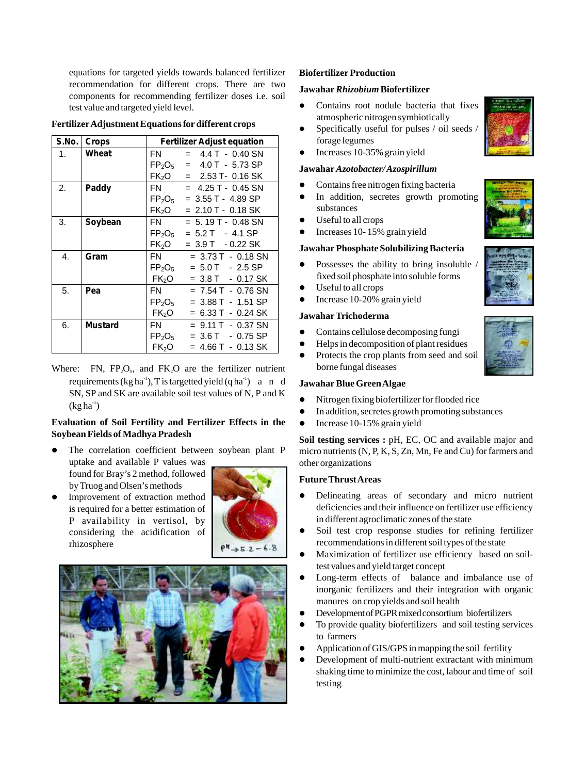equations for targeted yields towards balanced fertilizer **Biofertilizer Production** recommendation for different crops. There are two **Jawahar** *Rhizobium***Biofertilizer** components for recommending fertilizer doses i.e. soil test value and targeted yield level.

| S.No. I | <b>Crops</b>   | <b>Fertilizer Adjust equation</b> |                        |  |
|---------|----------------|-----------------------------------|------------------------|--|
| $1_{-}$ | Wheat          | FN                                | $= 4.4$ T $- 0.40$ SN  |  |
|         |                | $FP_2O_5$                         | $= 4.0$ T $- 5.73$ SP  |  |
|         |                | FK <sub>2</sub> O                 | $= 2.53$ T- 0.16 SK    |  |
| 2.      | Paddy          | FN 50                             | $= 4.25$ T - 0.45 SN   |  |
|         |                | $\mathsf{FP}_2\mathsf{O}_5$       | $= 3.55$ T - 4.89 SP   |  |
|         |                | FK <sub>2</sub> O                 | $= 2.10$ T - 0.18 SK   |  |
| 3.      | Soybean        | FN 50                             | $= 5.19$ T - 0.48 SN   |  |
|         |                | $\mathsf{FP}_2\mathsf{O}_5$       | $= 5.2 T - 4.1 SP$     |  |
|         |                | FK <sub>2</sub> O                 | $= 3.9$ T $- 0.22$ SK  |  |
| 4.      | Gram           | FN -                              | $= 3.73$ T $- 0.18$ SN |  |
|         |                | $FP_2O_5$                         | $= 5.0$ T $- 2.5$ SP   |  |
|         |                | FK <sub>2</sub> O                 | $= 3.8$ T $- 0.17$ SK  |  |
| 5.      | Pea            | FN                                | = 7.54 T - 0.76 SN     |  |
|         |                | $\mathsf{FP}_2\mathsf{O}_5$       | $= 3.88$ T $- 1.51$ SP |  |
|         |                | FK <sub>2</sub> O                 | = 6.33 T - 0.24 SK     |  |
| 6.      | <b>Mustard</b> | FN.                               | $= 9.11$ T $- 0.37$ SN |  |
|         |                | $\mathsf{FP}_2\mathsf{O}_5$       | $= 3.6$ T $- 0.75$ SP  |  |
|         |                | FK <sub>2</sub> O                 | = 4.66 T - 0.13 SK     |  |

# **Fertilizer Adjustment Equations for different crops** Specifically useful for pulses / oil seeds /

Where: FN,  $FP_2O_5$ , and  $FK_2O$  are the fertilizer nutrient borne fungal diseases requirements  $(kg ha<sup>-1</sup>)$ , T is targetted yield  $(q ha<sup>-1</sup>)$  a n d **Jawahar Blue Green Algae** SN, SP and SK are available soil test values of N, P and K  $(kg ha<sup>-1</sup>)$ 

### **Evaluation of Soil Fertility and Fertilizer Effects in the •** Increase 10-15% grain yield **Soybean Fields of Madhya Pradesh**

- The correlation coefficient between soybean plant P uptake and available  $P$  values was  $\qquad \qquad$  other organizations found for Bray's 2 method, followed **Future Thrust Areas**
- Improvement of extraction by Truog and Olsen' s methods P availability in vertisol, by rhizosphere





- atmospheric nitrogen symbiotically
- forage legumes
- Increases 10-35% grain yield

### **J awahar** *Azotobacter/ Azospirillum*

- **•** Contains free nitrogen fixing bacteria
- $\bullet$  In addition, secretes growth promoting substances
- $\bullet$  Useful to all crops
- Increases 10-15% grain yield

### **J awahar Phosphate Solubilizing Bacteria**

- Possesses the ability to bring insoluble / fixed soil phosphate into soluble forms
- $\bullet$  Useful to all crops
- Increase 10-20% grain yield

### **J awahar Trichoderma**

- **•** Contains cellulose decomposing fungi
- $\bullet$  Helps in decomposition of plant residues
- Protects the crop plants from seed and soil

- 
- Nitrogen fixing biofertilizer for flooded rice<br>• In addition, secretes growth promoting substances
- 

Soil testing services : pH, EC, OC and available major and  $m$ icro nutrients (N, P, K, S, Zn, Mn, Fe and Cu) for farmers and

- $\bullet$  Delineating areas of secondary and micro nutrient is required for a better estimation of **interval** deficiencies and their influence on fertilizer use efficiency in different agroclimatic zones of the state
- considering the acidification of **NAMEL CONSIDERED Soil test crop response studies for refining fertilizer** recommendations in different soil types of the state
	- $\bullet$  Maximization of fertilizer use efficiency based on soiltest values and yield target concept
	- Long-term effects of balance and imbalance use of inorganic fertilizers and their integration with organic manures on crop yields and soil health
	- l DevelopmentofPGPRmixedconsortium biofertilizers
	- To provide quality biofertilizers and soil testing services to farmers
	- Application of GIS/GPS in mapping the soil fertility
	- Development of multi-nutrient extractant with minimum shaking time to minimize the cost, labour and time of soil testing





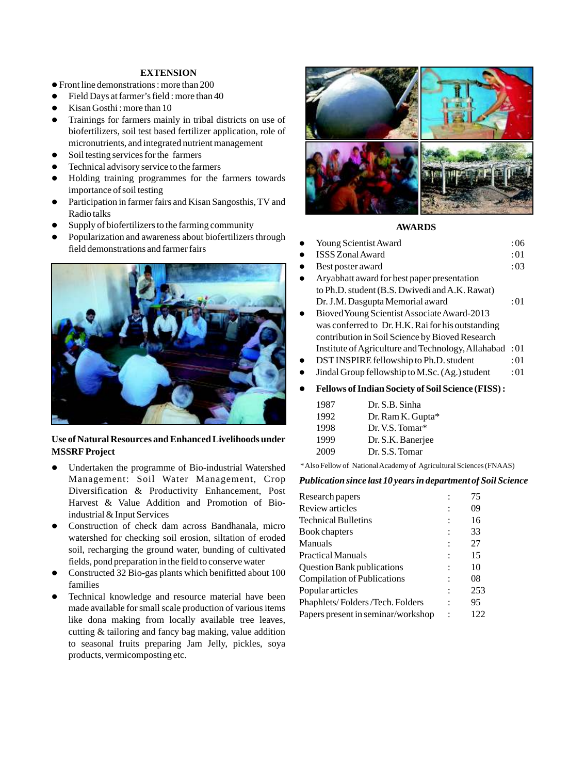### **EXTENSION**

- Front line demonstrations : more than 200 l
- l Field Days at farmer's field : more than 40
- Kisan Gosthi : more than 10
- Trainings for farmers mainly in tribal districts on use of biofertilizers, soil test based fertilizer application, role of micronutrients, and integrated nutrient management
- Soil testing services for the farmers
- Technical advisory service to the farmers
- l Holding training programmes for the farmers towards importance of soil testing
- Participation in farmer fairs and Kisan Sangosthis, TV and Radio talks
- Supply of biofertilizers to the farming community
- Popularization and awareness about biofertilizers through field demonstrations and farmer fairs



## **Use of Natural Resources and Enhanced Livelihoods under MSSRF Project**

- Undertaken the programme of Bio-industrial Watershed Management: Soil Water Management, Crop Diversification & Productivity Enhancement, Post Harvest & Value Addition and Promotion of Bioindustrial & Input Services
- **•** Construction of check dam across Bandhanala, micro watershed for checking soil erosion, siltation of eroded soil, recharging the ground water, bunding of cultivated fields, pond preparation in the field to conserve water
- Constructed 32 Bio-gas plants which benifitted about 100 families
- Technical knowledge and resource material have been made available for small scale production of various items like dona making from locally available tree leaves, cutting & tailoring and fancy bag making, value addition to seasonal fruits preparing Jam Jelly, pickles, soya products, vermicomposting etc.



### **AWARDS**

- Young Scientist Award : 06
- ISSS Zonal Award : 01
- Best poster award : 03
- Aryabhatt award for best paper presentation to Ph.D. student (B.S. Dwivedi and A.K. Rawat) Dr. J.M. Dasgupta Memorial award : 01
- Bioved Young Scientist Associate Award-2013 was conferred to Dr. H.K. Rai for his outstanding contribution in Soil Science by Bioved Research Institute of Agriculture and Technology, Allahabad : 01
- DST INSPIRE fellowship to Ph.D. student : 01
- Jindal Group fellowship to M.Sc. (Ag.) student : 01
- **•** Fellows of Indian Society of Soil Science (FISS) :

| 1987 | Dr. S.B. Sinha    |
|------|-------------------|
| 1992 | Dr. Ram K. Gupta* |
| 1998 | Dr. V.S. Tomar*   |
| 1999 | Dr. S.K. Banerjee |
| 2009 |                   |
|      | Dr. S.S. Tomar    |

\* Also Fellow of National Academy of Agricultural Sciences (FNAAS)

#### *Publication since last 10 years in department of Soil Science*

| Research papers                    | 75  |
|------------------------------------|-----|
| Review articles                    | 09  |
| <b>Technical Bulletins</b>         | 16  |
| Book chapters                      | 33  |
| Manuals                            | 27  |
| Practical Manuals                  | 15  |
| <b>Question Bank publications</b>  | 10  |
| Compilation of Publications        | 08  |
| Popular articles                   | 253 |
| Phaphlets/Folders/Tech. Folders    | 95  |
| Papers present in seminar/workshop | 122 |